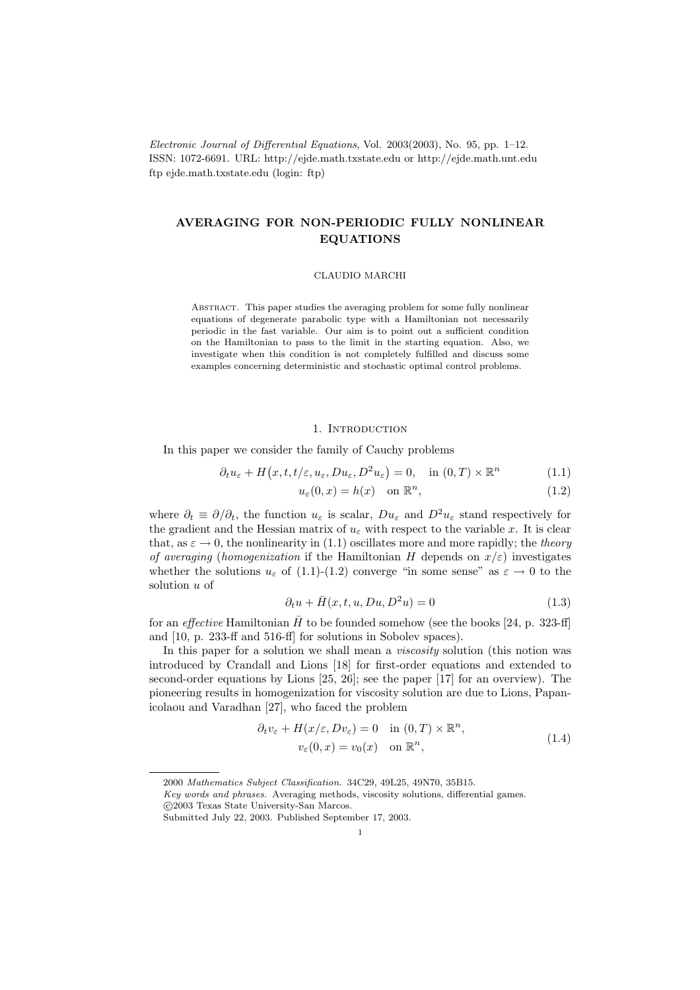Electronic Journal of Differential Equations, Vol. 2003(2003), No. 95, pp. 1–12. ISSN: 1072-6691. URL: http://ejde.math.txstate.edu or http://ejde.math.unt.edu ftp ejde.math.txstate.edu (login: ftp)

# AVERAGING FOR NON-PERIODIC FULLY NONLINEAR EQUATIONS

# CLAUDIO MARCHI

ABSTRACT. This paper studies the averaging problem for some fully nonlinear equations of degenerate parabolic type with a Hamiltonian not necessarily periodic in the fast variable. Our aim is to point out a sufficient condition on the Hamiltonian to pass to the limit in the starting equation. Also, we investigate when this condition is not completely fulfilled and discuss some examples concerning deterministic and stochastic optimal control problems.

# 1. INTRODUCTION

In this paper we consider the family of Cauchy problems

$$
\partial_t u_{\varepsilon} + H(x, t, t/\varepsilon, u_{\varepsilon}, Du_{\varepsilon}, D^2 u_{\varepsilon}) = 0, \quad \text{in } (0, T) \times \mathbb{R}^n \tag{1.1}
$$

$$
u_{\varepsilon}(0, x) = h(x) \quad \text{on } \mathbb{R}^n,
$$
\n(1.2)

where  $\partial_t \equiv \partial/\partial_t$ , the function  $u_\varepsilon$  is scalar,  $Du_\varepsilon$  and  $D^2u_\varepsilon$  stand respectively for the gradient and the Hessian matrix of  $u_{\varepsilon}$  with respect to the variable x. It is clear that, as  $\varepsilon \to 0$ , the nonlinearity in (1.1) oscillates more and more rapidly; the theory of averaging (homogenization if the Hamiltonian H depends on  $x/\varepsilon$ ) investigates whether the solutions  $u_{\varepsilon}$  of (1.1)-(1.2) converge "in some sense" as  $\varepsilon \to 0$  to the solution u of

$$
\partial_t u + \bar{H}(x, t, u, Du, D^2 u) = 0 \tag{1.3}
$$

for an *effective* Hamiltonian  $\bar{H}$  to be founded somehow (see the books [24, p. 323-ff] and [10, p. 233-ff and 516-ff] for solutions in Sobolev spaces).

In this paper for a solution we shall mean a *viscosity* solution (this notion was introduced by Crandall and Lions [18] for first-order equations and extended to second-order equations by Lions [25, 26]; see the paper [17] for an overview). The pioneering results in homogenization for viscosity solution are due to Lions, Papanicolaou and Varadhan [27], who faced the problem

$$
\partial_t v_{\varepsilon} + H(x/\varepsilon, Dv_{\varepsilon}) = 0 \quad \text{in } (0, T) \times \mathbb{R}^n,
$$
  

$$
v_{\varepsilon}(0, x) = v_0(x) \quad \text{on } \mathbb{R}^n,
$$
 (1.4)

<sup>2000</sup> Mathematics Subject Classification. 34C29, 49L25, 49N70, 35B15.

Key words and phrases. Averaging methods, viscosity solutions, differential games. c 2003 Texas State University-San Marcos.

Submitted July 22, 2003. Published September 17, 2003.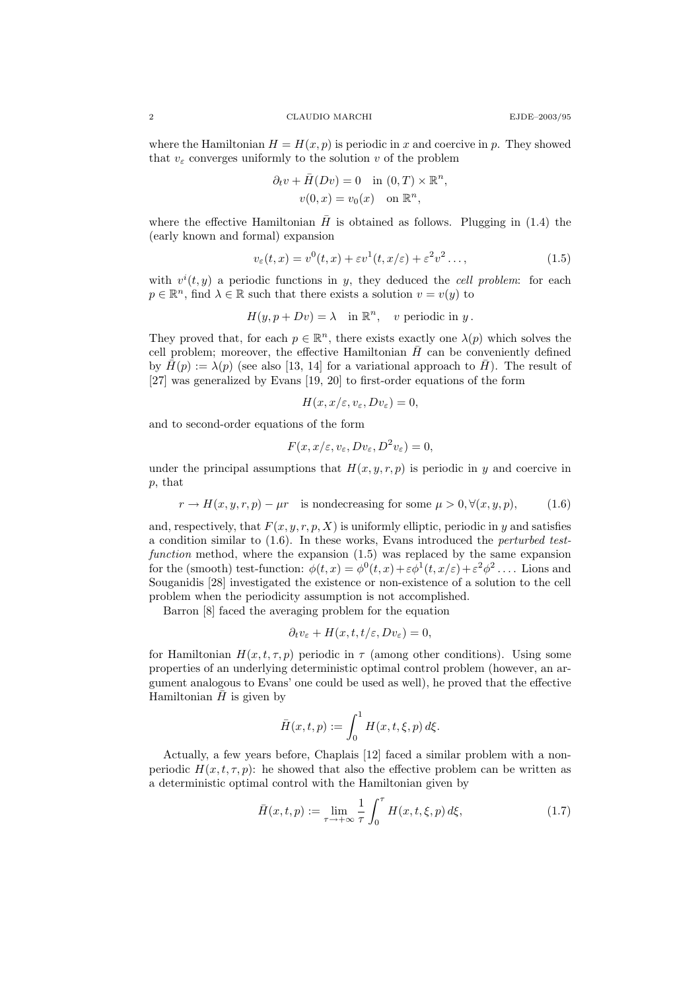where the Hamiltonian  $H = H(x, p)$  is periodic in x and coercive in p. They showed that  $v_{\varepsilon}$  converges uniformly to the solution v of the problem

$$
\partial_t v + \bar{H}(Dv) = 0 \quad \text{in } (0, T) \times \mathbb{R}^n,
$$
  

$$
v(0, x) = v_0(x) \quad \text{on } \mathbb{R}^n,
$$

where the effective Hamiltonian  $\bar{H}$  is obtained as follows. Plugging in (1.4) the (early known and formal) expansion

$$
v_{\varepsilon}(t,x) = v^{0}(t,x) + \varepsilon v^{1}(t,x/\varepsilon) + \varepsilon^{2} v^{2} \dots,
$$
\n(1.5)

with  $v^i(t, y)$  a periodic functions in y, they deduced the cell problem: for each  $p \in \mathbb{R}^n$ , find  $\lambda \in \mathbb{R}$  such that there exists a solution  $v = v(y)$  to

$$
H(y, p + Dv) = \lambda \quad \text{in } \mathbb{R}^n, \quad v \text{ periodic in } y.
$$

They proved that, for each  $p \in \mathbb{R}^n$ , there exists exactly one  $\lambda(p)$  which solves the cell problem; moreover, the effective Hamiltonian  $\bar{H}$  can be conveniently defined by  $\bar{H}(p) := \lambda(p)$  (see also [13, 14] for a variational approach to  $\bar{H}$ ). The result of [27] was generalized by Evans [19, 20] to first-order equations of the form

$$
H(x, x/\varepsilon, v_\varepsilon, Dv_\varepsilon) = 0,
$$

and to second-order equations of the form

$$
F(x, x/\varepsilon, v_\varepsilon, Dv_\varepsilon, D^2v_\varepsilon) = 0,
$$

under the principal assumptions that  $H(x, y, r, p)$  is periodic in y and coercive in p, that

$$
r \to H(x, y, r, p) - \mu r
$$
 is nondecreasing for some  $\mu > 0, \forall (x, y, p),$  (1.6)

and, respectively, that  $F(x, y, r, p, X)$  is uniformly elliptic, periodic in y and satisfies a condition similar to (1.6). In these works, Evans introduced the perturbed testfunction method, where the expansion (1.5) was replaced by the same expansion for the (smooth) test-function:  $\phi(t,x) = \phi^0(t,x) + \varepsilon \phi^1(t,x/\varepsilon) + \varepsilon^2 \phi^2 \dots$  Lions and Souganidis [28] investigated the existence or non-existence of a solution to the cell problem when the periodicity assumption is not accomplished.

Barron [8] faced the averaging problem for the equation

$$
\partial_t v_{\varepsilon} + H(x, t, t/\varepsilon, Dv_{\varepsilon}) = 0,
$$

for Hamiltonian  $H(x, t, \tau, p)$  periodic in  $\tau$  (among other conditions). Using some properties of an underlying deterministic optimal control problem (however, an argument analogous to Evans' one could be used as well), he proved that the effective Hamiltonian  $H$  is given by

$$
\bar{H}(x,t,p) := \int_0^1 H(x,t,\xi,p) \, d\xi.
$$

Actually, a few years before, Chaplais [12] faced a similar problem with a nonperiodic  $H(x, t, \tau, p)$ : he showed that also the effective problem can be written as a deterministic optimal control with the Hamiltonian given by

$$
\bar{H}(x,t,p) := \lim_{\tau \to +\infty} \frac{1}{\tau} \int_0^{\tau} H(x,t,\xi,p) \, d\xi,\tag{1.7}
$$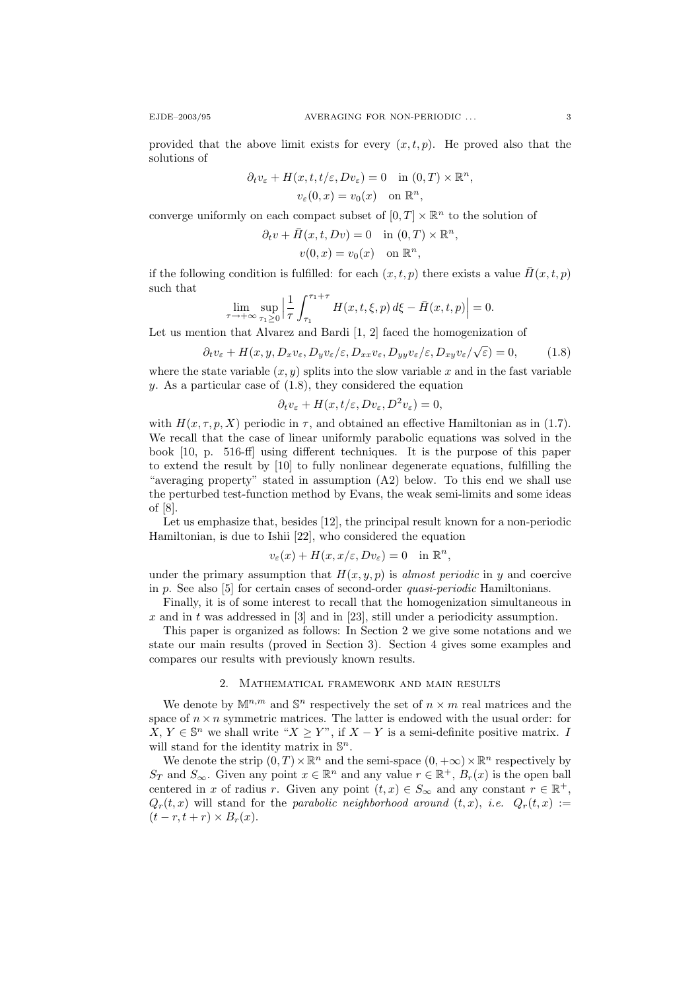provided that the above limit exists for every  $(x, t, p)$ . He proved also that the solutions of

$$
\partial_t v_{\varepsilon} + H(x, t, t/\varepsilon, Dv_{\varepsilon}) = 0 \quad \text{in } (0, T) \times \mathbb{R}^n,
$$
  

$$
v_{\varepsilon}(0, x) = v_0(x) \quad \text{on } \mathbb{R}^n,
$$

converge uniformly on each compact subset of  $[0, T] \times \mathbb{R}^n$  to the solution of

$$
\partial_t v + \overline{H}(x, t, Dv) = 0 \quad \text{in } (0, T) \times \mathbb{R}^n,
$$
  

$$
v(0, x) = v_0(x) \quad \text{on } \mathbb{R}^n,
$$

if the following condition is fulfilled: for each  $(x, t, p)$  there exists a value  $\bar{H}(x, t, p)$ such that

$$
\lim_{\tau \to +\infty} \sup_{\tau_1 \ge 0} \left| \frac{1}{\tau} \int_{\tau_1}^{\tau_1 + \tau} H(x, t, \xi, p) \, d\xi - \bar{H}(x, t, p) \right| = 0.
$$

Let us mention that Alvarez and Bardi [1, 2] faced the homogenization of

$$
\partial_t v_{\varepsilon} + H(x, y, D_x v_{\varepsilon}, D_y v_{\varepsilon}/\varepsilon, D_{xx} v_{\varepsilon}, D_{yy} v_{\varepsilon}/\varepsilon, D_{xy} v_{\varepsilon}/\sqrt{\varepsilon}) = 0, \qquad (1.8)
$$

where the state variable  $(x, y)$  splits into the slow variable x and in the fast variable y. As a particular case of  $(1.8)$ , they considered the equation

$$
\partial_t v_{\varepsilon} + H(x, t/\varepsilon, Dv_{\varepsilon}, D^2 v_{\varepsilon}) = 0,
$$

with  $H(x, \tau, p, X)$  periodic in  $\tau$ , and obtained an effective Hamiltonian as in (1.7). We recall that the case of linear uniformly parabolic equations was solved in the book [10, p. 516-ff] using different techniques. It is the purpose of this paper to extend the result by [10] to fully nonlinear degenerate equations, fulfilling the "averaging property" stated in assumption (A2) below. To this end we shall use the perturbed test-function method by Evans, the weak semi-limits and some ideas of [8].

Let us emphasize that, besides [12], the principal result known for a non-periodic Hamiltonian, is due to Ishii [22], who considered the equation

$$
v_{\varepsilon}(x) + H(x, x/\varepsilon, Dv_{\varepsilon}) = 0 \quad \text{in } \mathbb{R}^n,
$$

under the primary assumption that  $H(x, y, p)$  is almost periodic in y and coercive in p. See also [5] for certain cases of second-order quasi-periodic Hamiltonians.

Finally, it is of some interest to recall that the homogenization simultaneous in x and in t was addressed in [3] and in [23], still under a periodicity assumption.

This paper is organized as follows: In Section 2 we give some notations and we state our main results (proved in Section 3). Section 4 gives some examples and compares our results with previously known results.

# 2. Mathematical framework and main results

We denote by  $\mathbb{M}^{n,m}$  and  $\mathbb{S}^n$  respectively the set of  $n \times m$  real matrices and the space of  $n \times n$  symmetric matrices. The latter is endowed with the usual order: for X, Y ∈  $\mathbb{S}^n$  we shall write " $X \geq Y$ ", if  $X - Y$  is a semi-definite positive matrix. I will stand for the identity matrix in  $\mathbb{S}^n$ .

We denote the strip  $(0, T) \times \mathbb{R}^n$  and the semi-space  $(0, +\infty) \times \mathbb{R}^n$  respectively by  $S_T$  and  $S_{\infty}$ . Given any point  $x \in \mathbb{R}^n$  and any value  $r \in \mathbb{R}^+$ ,  $B_r(x)$  is the open ball centered in x of radius r. Given any point  $(t, x) \in S_{\infty}$  and any constant  $r \in \mathbb{R}^+$ ,  $Q_r(t, x)$  will stand for the parabolic neighborhood around  $(t, x)$ , i.e.  $Q_r(t, x) :=$  $(t - r, t + r) \times B_r(x)$ .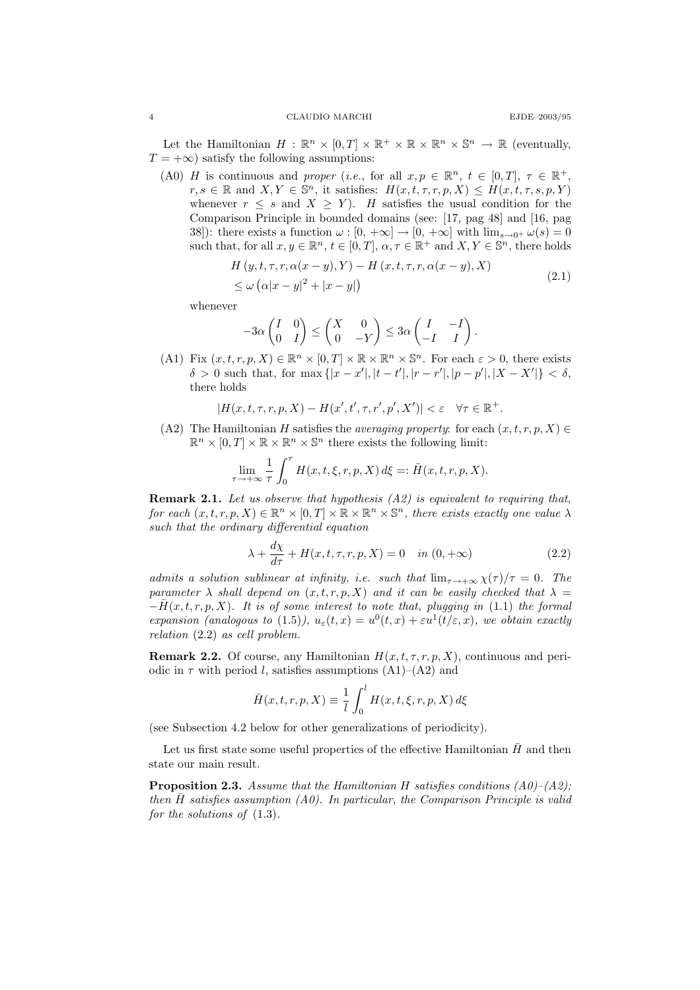Let the Hamiltonian  $H : \mathbb{R}^n \times [0,T] \times \mathbb{R}^+ \times \mathbb{R} \times \mathbb{R}^n \times \mathbb{S}^n \to \mathbb{R}$  (eventually,  $T = +\infty$ ) satisfy the following assumptions:

(A0) H is continuous and proper (i.e., for all  $x, p \in \mathbb{R}^n$ ,  $t \in [0, T]$ ,  $\tau \in \mathbb{R}^+$ ,  $r, s \in \mathbb{R}$  and  $X, Y \in \mathbb{S}^n$ , it satisfies:  $H(x, t, \tau, r, p, X) \leq H(x, t, \tau, s, p, Y)$ whenever  $r \leq s$  and  $X \geq Y$ ). H satisfies the usual condition for the Comparison Principle in bounded domains (see: [17, pag 48] and [16, pag 38]): there exists a function  $\omega : [0, +\infty] \to [0, +\infty]$  with  $\lim_{s \to 0^+} \omega(s) = 0$ such that, for all  $x, y \in \mathbb{R}^n$ ,  $t \in [0, T]$ ,  $\alpha, \tau \in \mathbb{R}^+$  and  $X, Y \in \mathbb{S}^n$ , there holds

$$
H(y, t, \tau, r, \alpha(x - y), Y) - H(x, t, \tau, r, \alpha(x - y), X)
$$
  
\n
$$
\leq \omega (\alpha |x - y|^2 + |x - y|)
$$
\n(2.1)

whenever

$$
-3\alpha \begin{pmatrix} I & 0 \\ 0 & I \end{pmatrix} \le \begin{pmatrix} X & 0 \\ 0 & -Y \end{pmatrix} \le 3\alpha \begin{pmatrix} I & -I \\ -I & I \end{pmatrix}.
$$

(A1) Fix  $(x, t, r, p, X) \in \mathbb{R}^n \times [0, T] \times \mathbb{R} \times \mathbb{R}^n \times \mathbb{S}^n$ . For each  $\varepsilon > 0$ , there exists  $\delta > 0$  such that, for max  $\{|x - x'|, |t - t'|, |r - r'|, |p - p'|, |X - X'| \} < \delta$ , there holds

$$
|H(x,t,\tau,r,p,X) - H(x',t',\tau,r',p',X')| < \varepsilon \quad \forall \tau \in \mathbb{R}^+.
$$

(A2) The Hamiltonian H satisfies the *averaging property*: for each  $(x, t, r, p, X) \in$  $\mathbb{R}^n \times [0,T] \times \mathbb{R} \times \mathbb{R}^n \times \mathbb{S}^n$  there exists the following limit:

$$
\lim_{\tau \to +\infty} \frac{1}{\tau} \int_0^{\tau} H(x, t, \xi, r, p, X) d\xi =: \overline{H}(x, t, r, p, X).
$$

**Remark 2.1.** Let us observe that hypothesis  $(A2)$  is equivalent to requiring that, for each  $(x, t, r, p, X) \in \mathbb{R}^n \times [0, T] \times \mathbb{R} \times \mathbb{R}^n \times \mathbb{S}^n$ , there exists exactly one value  $\lambda$ such that the ordinary differential equation

$$
\lambda + \frac{d\chi}{d\tau} + H(x, t, \tau, r, p, X) = 0 \quad in (0, +\infty)
$$
\n(2.2)

admits a solution sublinear at infinity, i.e. such that  $\lim_{\tau \to +\infty} \chi(\tau)/\tau = 0$ . The parameter  $\lambda$  shall depend on  $(x, t, r, p, X)$  and it can be easily checked that  $\lambda =$  $-F(x, t, r, p, X)$ . It is of some interest to note that, plugging in (1.1) the formal expansion (analogous to (1.5)),  $u_{\varepsilon}(t,x) = u^{0}(t,x) + \varepsilon u^{1}(t/\varepsilon,x)$ , we obtain exactly relation (2.2) as cell problem.

**Remark 2.2.** Of course, any Hamiltonian  $H(x, t, \tau, r, p, X)$ , continuous and periodic in  $\tau$  with period l, satisfies assumptions  $(A1)$ – $(A2)$  and

$$
\bar{H}(x,t,r,p,X) \equiv \frac{1}{l} \int_0^l H(x,t,\xi,r,p,X) \, d\xi
$$

(see Subsection 4.2 below for other generalizations of periodicity).

Let us first state some useful properties of the effective Hamiltonian  $H$  and then state our main result.

**Proposition 2.3.** Assume that the Hamiltonian H satisfies conditions  $(A0)$ – $(A2)$ ; then H satisfies assumption  $(A0)$ . In particular, the Comparison Principle is valid for the solutions of  $(1.3)$ .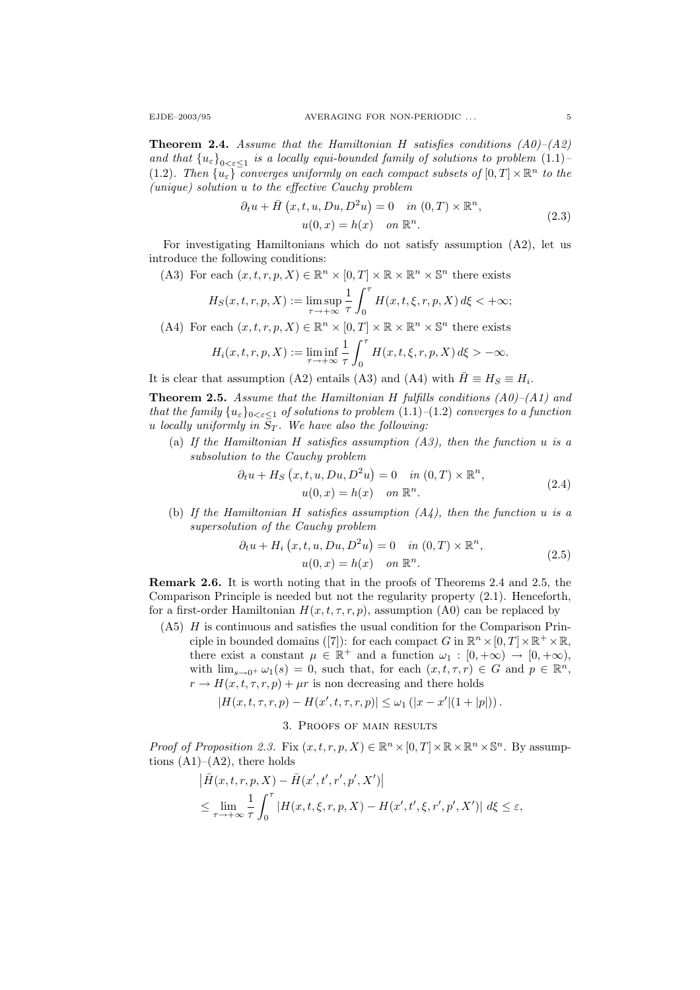**Theorem 2.4.** Assume that the Hamiltonian H satisfies conditions  $(A0)$ – $(A2)$ and that  ${u_{\varepsilon}}_{0<\varepsilon\leq 1}$  is a locally equi-bounded family of solutions to problem  $(1.1)$ (1.2). Then  $\{u_{\varepsilon}\}\$  converges uniformly on each compact subsets of  $[0,T] \times \mathbb{R}^n$  to the (unique) solution u to the effective Cauchy problem

$$
\partial_t u + \bar{H}\left(x, t, u, Du, D^2 u\right) = 0 \quad \text{in } (0, T) \times \mathbb{R}^n,
$$
  

$$
u(0, x) = h(x) \quad \text{on } \mathbb{R}^n.
$$
 (2.3)

For investigating Hamiltonians which do not satisfy assumption  $(A2)$ , let us introduce the following conditions:

(A3) For each  $(x, t, r, p, X) \in \mathbb{R}^n \times [0, T] \times \mathbb{R} \times \mathbb{R}^n \times \mathbb{S}^n$  there exists

$$
H_S(x, t, r, p, X) := \limsup_{\tau \to +\infty} \frac{1}{\tau} \int_0^{\tau} H(x, t, \xi, r, p, X) d\xi < +\infty;
$$

(A4) For each  $(x, t, r, p, X) \in \mathbb{R}^n \times [0, T] \times \mathbb{R} \times \mathbb{R}^n \times \mathbb{S}^n$  there exists  $H_i(x, t, r, p, X) := \liminf_{\tau \to +\infty}$ 1 τ  $\int_0^{\tau}$ 0  $H(x, t, \xi, r, p, X) d\xi > -\infty.$ 

It is clear that assumption (A2) entails (A3) and (A4) with  $\bar{H} \equiv H_S \equiv H_i$ .

**Theorem 2.5.** Assume that the Hamiltonian H fulfills conditions  $(A0)$ – $(A1)$  and that the family  $\{u_{\varepsilon}\}_{0<\varepsilon\leq 1}$  of solutions to problem  $(1.1)-(1.2)$  converges to a function u locally uniformly in  $S_T$ . We have also the following:

(a) If the Hamiltonian H satisfies assumption  $(A3)$ , then the function u is a subsolution to the Cauchy problem

$$
\partial_t u + H_S(x, t, u, Du, D^2 u) = 0 \quad in (0, T) \times \mathbb{R}^n,
$$
  

$$
u(0, x) = h(x) \quad on \mathbb{R}^n.
$$
 (2.4)

(b) If the Hamiltonian H satisfies assumption  $(A_4)$ , then the function u is a supersolution of the Cauchy problem

$$
\partial_t u + H_i(x, t, u, Du, D^2 u) = 0 \quad in (0, T) \times \mathbb{R}^n,
$$
  

$$
u(0, x) = h(x) \quad on \mathbb{R}^n.
$$
 (2.5)

Remark 2.6. It is worth noting that in the proofs of Theorems 2.4 and 2.5, the Comparison Principle is needed but not the regularity property (2.1). Henceforth, for a first-order Hamiltonian  $H(x, t, \tau, r, p)$ , assumption (A0) can be replaced by

(A5) H is continuous and satisfies the usual condition for the Comparison Principle in bounded domains ([7]): for each compact G in  $\mathbb{R}^n \times [0, T] \times \mathbb{R}^+ \times \mathbb{R}$ , there exist a constant  $\mu \in \mathbb{R}^+$  and a function  $\omega_1 : [0, +\infty) \to [0, +\infty)$ , with  $\lim_{s\to 0^+} \omega_1(s) = 0$ , such that, for each  $(x, t, \tau, r) \in G$  and  $p \in \mathbb{R}^n$ ,  $r \to H(x, t, \tau, r, p) + \mu r$  is non decreasing and there holds

$$
|H(x,t,\tau,r,p) - H(x',t,\tau,r,p)| \leq \omega_1 (|x - x'| (1 + |p|)).
$$

# 3. Proofs of main results

*Proof of Proposition 2.3.* Fix  $(x, t, r, p, X) \in \mathbb{R}^n \times [0, T] \times \mathbb{R} \times \mathbb{R}^n \times \mathbb{S}^n$ . By assumptions  $(A1)–(A2)$ , there holds

$$
\left| \bar{H}(x,t,r,p,X) - \bar{H}(x',t',r',p',X') \right|
$$
  

$$
\leq \lim_{\tau \to +\infty} \frac{1}{\tau} \int_0^{\tau} \left| H(x,t,\xi,r,p,X) - H(x',t',\xi,r',p',X') \right| d\xi \leq \varepsilon,
$$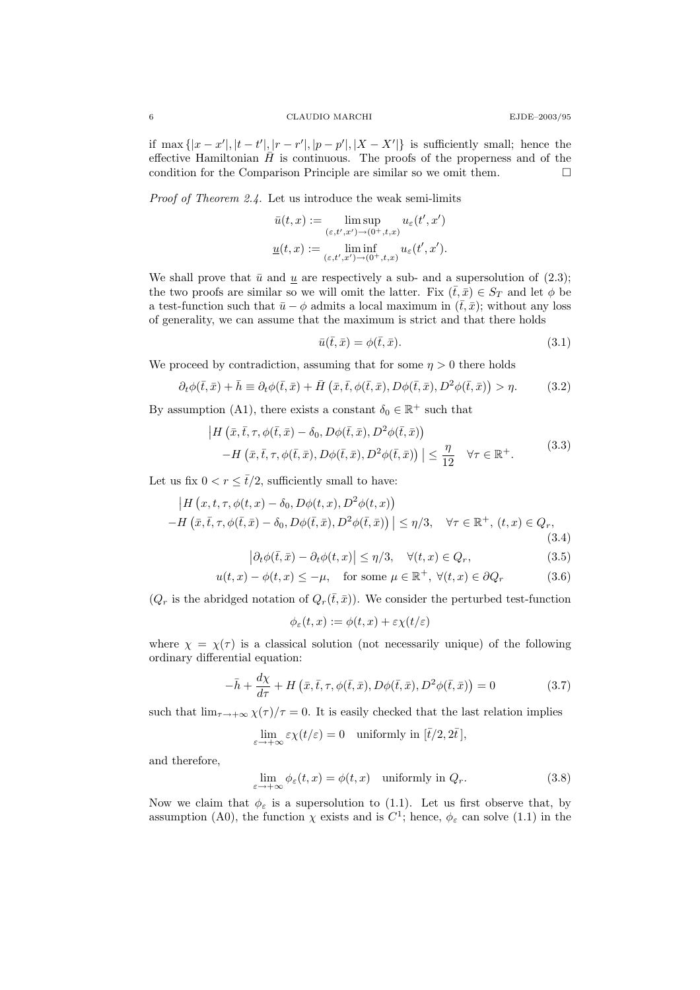### 6 CLAUDIO MARCHI EJDE–2003/95

if max  $\{|x-x'|, |t-t'|, |r-r'|, |p-p'|, |X-X'| \}$  is sufficiently small; hence the effective Hamiltonian  $\bar{H}$  is continuous. The proofs of the properness and of the condition for the Comparison Principle are similar so we omit them.  $\Box$ 

Proof of Theorem 2.4. Let us introduce the weak semi-limits

$$
\bar{u}(t,x):=\limsup_{(\varepsilon,t',x')\to (0^+,t,x)}u_\varepsilon(t',x')\\\underline{u}(t,x):=\liminf_{(\varepsilon,t',x')\to (0^+,t,x)}u_\varepsilon(t',x').
$$

We shall prove that  $\bar{u}$  and  $\bar{u}$  are respectively a sub- and a supersolution of (2.3); the two proofs are similar so we will omit the latter. Fix  $(\bar{t}, \bar{x}) \in S_T$  and let  $\phi$  be a test-function such that  $\bar{u} - \phi$  admits a local maximum in  $(\bar{t}, \bar{x})$ ; without any loss of generality, we can assume that the maximum is strict and that there holds

$$
\bar{u}(\bar{t}, \bar{x}) = \phi(\bar{t}, \bar{x}).\tag{3.1}
$$

We proceed by contradiction, assuming that for some  $\eta > 0$  there holds

$$
\partial_t \phi(\bar{t}, \bar{x}) + \bar{h} \equiv \partial_t \phi(\bar{t}, \bar{x}) + \bar{H} \left( \bar{x}, \bar{t}, \phi(\bar{t}, \bar{x}), D\phi(\bar{t}, \bar{x}), D^2\phi(\bar{t}, \bar{x}) \right) > \eta. \tag{3.2}
$$

By assumption (A1), there exists a constant  $\delta_0 \in \mathbb{R}^+$  such that

$$
\left| H\left(\bar{x}, \bar{t}, \tau, \phi(\bar{t}, \bar{x}) - \delta_0, D\phi(\bar{t}, \bar{x}), D^2\phi(\bar{t}, \bar{x})\right) \right|
$$
  
-
$$
H\left(\bar{x}, \bar{t}, \tau, \phi(\bar{t}, \bar{x}), D\phi(\bar{t}, \bar{x}), D^2\phi(\bar{t}, \bar{x})\right) \right| \leq \frac{\eta}{12} \quad \forall \tau \in \mathbb{R}^+.
$$
(3.3)

Let us fix  $0 < r \leq \bar{t}/2$ , sufficiently small to have:

$$
\left| H\left(x, t, \tau, \phi(t, x) - \delta_0, D\phi(t, x), D^2\phi(t, x) \right) \right|
$$
  
-
$$
H\left(\bar{x}, \bar{t}, \tau, \phi(\bar{t}, \bar{x}) - \delta_0, D\phi(\bar{t}, \bar{x}), D^2\phi(\bar{t}, \bar{x})\right) \right| \leq \eta/3, \quad \forall \tau \in \mathbb{R}^+, (t, x) \in Q_r,
$$
(3.4)

$$
\left|\partial_t \phi(\bar{t}, \bar{x}) - \partial_t \phi(t, x)\right| \le \eta/3, \quad \forall (t, x) \in Q_r,
$$
\n(3.5)

$$
u(t,x) - \phi(t,x) \le -\mu, \quad \text{for some } \mu \in \mathbb{R}^+, \ \forall (t,x) \in \partial Q_r \tag{3.6}
$$

 $(Q_r$  is the abridged notation of  $Q_r(\bar{t},\bar{x})$ . We consider the perturbed test-function

$$
\phi_{\varepsilon}(t,x) := \phi(t,x) + \varepsilon \chi(t/\varepsilon)
$$

where  $\chi = \chi(\tau)$  is a classical solution (not necessarily unique) of the following ordinary differential equation:

$$
-\bar{h} + \frac{d\chi}{d\tau} + H\left(\bar{x}, \bar{t}, \tau, \phi(\bar{t}, \bar{x}), D\phi(\bar{t}, \bar{x}), D^2\phi(\bar{t}, \bar{x})\right) = 0 \tag{3.7}
$$

such that  $\lim_{\tau \to +\infty} \chi(\tau)/\tau = 0$ . It is easily checked that the last relation implies

$$
\lim_{\varepsilon \to +\infty} \varepsilon \chi(t/\varepsilon) = 0 \quad \text{uniformly in } [\bar{t}/2, 2\bar{t}],
$$

and therefore,

$$
\lim_{\varepsilon \to +\infty} \phi_{\varepsilon}(t, x) = \phi(t, x) \quad \text{uniformly in } Q_r. \tag{3.8}
$$

Now we claim that  $\phi_{\varepsilon}$  is a supersolution to (1.1). Let us first observe that, by assumption (A0), the function  $\chi$  exists and is  $C^1$ ; hence,  $\phi_{\varepsilon}$  can solve (1.1) in the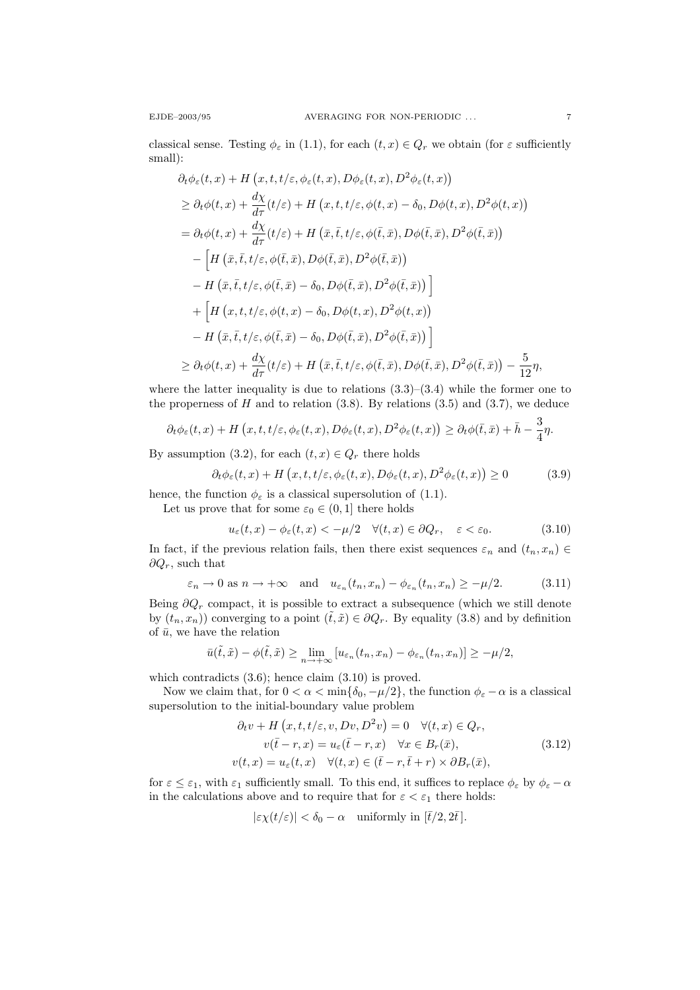classical sense. Testing  $\phi_{\varepsilon}$  in (1.1), for each  $(t, x) \in Q_r$  we obtain (for  $\varepsilon$  sufficiently small):

$$
\partial_t \phi_{\varepsilon}(t, x) + H(x, t, t/\varepsilon, \phi_{\varepsilon}(t, x), D\phi_{\varepsilon}(t, x), D^2\phi_{\varepsilon}(t, x))
$$
\n
$$
\geq \partial_t \phi(t, x) + \frac{d\chi}{d\tau}(t/\varepsilon) + H(x, t, t/\varepsilon, \phi(t, x) - \delta_0, D\phi(t, x), D^2\phi(t, x))
$$
\n
$$
= \partial_t \phi(t, x) + \frac{d\chi}{d\tau}(t/\varepsilon) + H(\bar{x}, \bar{t}, t/\varepsilon, \phi(\bar{t}, \bar{x}), D\phi(\bar{t}, \bar{x}), D^2\phi(\bar{t}, \bar{x}))
$$
\n
$$
- \left[H(\bar{x}, \bar{t}, t/\varepsilon, \phi(\bar{t}, \bar{x}), D\phi(\bar{t}, \bar{x}), D^2\phi(\bar{t}, \bar{x}))\right]
$$
\n
$$
- H(\bar{x}, \bar{t}, t/\varepsilon, \phi(\bar{t}, \bar{x}) - \delta_0, D\phi(\bar{t}, \bar{x}), D^2\phi(\bar{t}, \bar{x}))\right]
$$
\n
$$
+ \left[H(x, t, t/\varepsilon, \phi(t, x) - \delta_0, D\phi(t, x), D^2\phi(t, x))\right]
$$
\n
$$
- H(\bar{x}, \bar{t}, t/\varepsilon, \phi(\bar{t}, \bar{x}) - \delta_0, D\phi(\bar{t}, \bar{x}), D^2\phi(\bar{t}, \bar{x}))\right]
$$
\n
$$
\geq \partial_t \phi(t, x) + \frac{d\chi}{d\tau}(t/\varepsilon) + H(\bar{x}, \bar{t}, t/\varepsilon, \phi(\bar{t}, \bar{x}), D\phi(\bar{t}, \bar{x}), D^2\phi(\bar{t}, \bar{x})) - \frac{5}{12}\eta,
$$

where the latter inequality is due to relations  $(3.3)$ – $(3.4)$  while the former one to the properness of  $H$  and to relation  $(3.8)$ . By relations  $(3.5)$  and  $(3.7)$ , we deduce

$$
\partial_t \phi_{\varepsilon}(t,x) + H\left(x,t,t/\varepsilon,\phi_{\varepsilon}(t,x),D\phi_{\varepsilon}(t,x),D^2\phi_{\varepsilon}(t,x)\right) \geq \partial_t \phi(\bar{t},\bar{x}) + \bar{h} - \frac{3}{4}\eta.
$$

By assumption (3.2), for each  $(t, x) \in Q_r$  there holds

$$
\partial_t \phi_{\varepsilon}(t, x) + H\left(x, t, t/\varepsilon, \phi_{\varepsilon}(t, x), D\phi_{\varepsilon}(t, x), D^2\phi_{\varepsilon}(t, x)\right) \ge 0 \tag{3.9}
$$

hence, the function  $\phi_{\varepsilon}$  is a classical supersolution of (1.1).

Let us prove that for some  $\varepsilon_0 \in (0, 1]$  there holds

$$
u_{\varepsilon}(t,x) - \phi_{\varepsilon}(t,x) < -\mu/2 \quad \forall (t,x) \in \partial Q_r, \quad \varepsilon < \varepsilon_0. \tag{3.10}
$$

In fact, if the previous relation fails, then there exist sequences  $\varepsilon_n$  and  $(t_n, x_n) \in$  $\partial Q_r$ , such that

$$
\varepsilon_n \to 0
$$
 as  $n \to +\infty$  and  $u_{\varepsilon_n}(t_n, x_n) - \phi_{\varepsilon_n}(t_n, x_n) \ge -\mu/2.$  (3.11)

Being  $\partial Q_r$  compact, it is possible to extract a subsequence (which we still denote by  $(t_n, x_n)$  converging to a point  $(\tilde{t}, \tilde{x}) \in \partial Q_r$ . By equality (3.8) and by definition of  $\bar{u}$ , we have the relation

$$
\bar{u}(\tilde{t},\tilde{x}) - \phi(\tilde{t},\tilde{x}) \ge \lim_{n \to +\infty} \left[ u_{\varepsilon_n}(t_n, x_n) - \phi_{\varepsilon_n}(t_n, x_n) \right] \ge -\mu/2,
$$

which contradicts  $(3.6)$ ; hence claim  $(3.10)$  is proved.

Now we claim that, for  $0 < \alpha < \min{\delta_0, -\mu/2}$ , the function  $\phi_{\varepsilon} - \alpha$  is a classical supersolution to the initial-boundary value problem

$$
\partial_t v + H(x, t, t/\varepsilon, v, Dv, D^2 v) = 0 \quad \forall (t, x) \in Q_r,
$$
  

$$
v(\bar{t} - r, x) = u_{\varepsilon}(\bar{t} - r, x) \quad \forall x \in B_r(\bar{x}),
$$
  

$$
v(t, x) = u_{\varepsilon}(t, x) \quad \forall (t, x) \in (\bar{t} - r, \bar{t} + r) \times \partial B_r(\bar{x}),
$$
\n(3.12)

for  $\varepsilon \leq \varepsilon_1$ , with  $\varepsilon_1$  sufficiently small. To this end, it suffices to replace  $\phi_{\varepsilon}$  by  $\phi_{\varepsilon} - \alpha$ in the calculations above and to require that for  $\varepsilon < \varepsilon_1$  there holds:

$$
|\varepsilon \chi(t/\varepsilon)| < \delta_0 - \alpha \quad \text{uniformly in } [\bar{t}/2, 2\bar{t}].
$$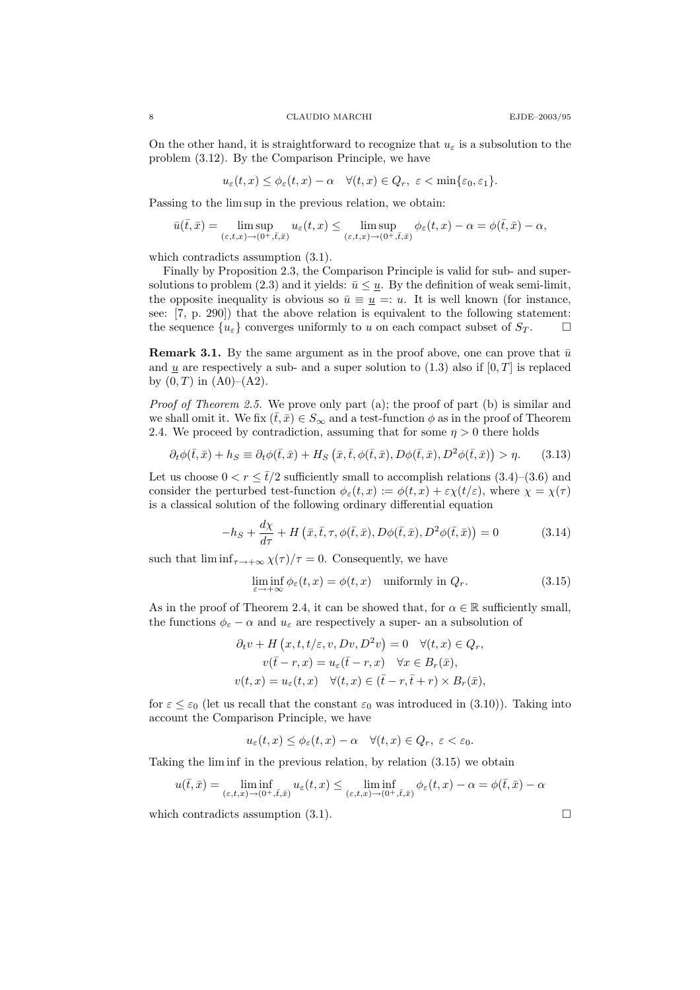On the other hand, it is straightforward to recognize that  $u_{\varepsilon}$  is a subsolution to the problem (3.12). By the Comparison Principle, we have

$$
u_{\varepsilon}(t,x) \leq \phi_{\varepsilon}(t,x) - \alpha \quad \forall (t,x) \in Q_r, \ \varepsilon < \min\{\varepsilon_0, \varepsilon_1\}.
$$

Passing to the lim sup in the previous relation, we obtain:

$$
\bar{u}(\bar{t},\bar{x}) = \limsup_{(\varepsilon,t,x)\to(0^+,\bar{t},\bar{x})} u_{\varepsilon}(t,x) \le \limsup_{(\varepsilon,t,x)\to(0^+,\bar{t},\bar{x})} \phi_{\varepsilon}(t,x) - \alpha = \phi(\bar{t},\bar{x}) - \alpha,
$$

which contradicts assumption  $(3.1)$ .

Finally by Proposition 2.3, the Comparison Principle is valid for sub- and supersolutions to problem (2.3) and it yields:  $\bar{u} \leq \underline{u}$ . By the definition of weak semi-limit, the opposite inequality is obvious so  $\bar{u} \equiv u =: u$ . It is well known (for instance, see: [7, p. 290]) that the above relation is equivalent to the following statement: the sequence  $\{u_{\varepsilon}\}\$ converges uniformly to u on each compact subset of  $S_T$ .

**Remark 3.1.** By the same argument as in the proof above, one can prove that  $\bar{u}$ and  $u$  are respectively a sub- and a super solution to (1.3) also if  $[0, T]$  is replaced by  $(0, T)$  in  $(A0)$ – $(A2)$ .

Proof of Theorem 2.5. We prove only part (a); the proof of part (b) is similar and we shall omit it. We fix  $(\bar{t}, \bar{x}) \in S_{\infty}$  and a test-function  $\phi$  as in the proof of Theorem 2.4. We proceed by contradiction, assuming that for some  $\eta > 0$  there holds

$$
\partial_t \phi(\bar{t}, \bar{x}) + h_S \equiv \partial_t \phi(\bar{t}, \bar{x}) + H_S(\bar{x}, \bar{t}, \phi(\bar{t}, \bar{x}), D\phi(\bar{t}, \bar{x}), D^2\phi(\bar{t}, \bar{x})) > \eta. \tag{3.13}
$$

Let us choose  $0 < r \leq \bar{t}/2$  sufficiently small to accomplish relations  $(3.4)$ – $(3.6)$  and consider the perturbed test-function  $\phi_{\varepsilon}(t,x) := \phi(t,x) + \varepsilon \chi(t/\varepsilon)$ , where  $\chi = \chi(\tau)$ is a classical solution of the following ordinary differential equation

$$
-h_S + \frac{d\chi}{d\tau} + H\left(\bar{x}, \bar{t}, \tau, \phi(\bar{t}, \bar{x}), D\phi(\bar{t}, \bar{x}), D^2\phi(\bar{t}, \bar{x})\right) = 0 \tag{3.14}
$$

such that  $\liminf_{\tau \to +\infty} \chi(\tau)/\tau = 0$ . Consequently, we have

$$
\liminf_{\varepsilon \to +\infty} \phi_{\varepsilon}(t, x) = \phi(t, x) \quad \text{uniformly in } Q_r. \tag{3.15}
$$

As in the proof of Theorem 2.4, it can be showed that, for  $\alpha \in \mathbb{R}$  sufficiently small, the functions  $\phi_{\varepsilon} - \alpha$  and  $u_{\varepsilon}$  are respectively a super- an a subsolution of

$$
\partial_t v + H(x, t, t/\varepsilon, v, Dv, D^2 v) = 0 \quad \forall (t, x) \in Q_r,
$$
  

$$
v(\bar{t} - r, x) = u_{\varepsilon}(\bar{t} - r, x) \quad \forall x \in B_r(\bar{x}),
$$
  

$$
v(t, x) = u_{\varepsilon}(t, x) \quad \forall (t, x) \in (\bar{t} - r, \bar{t} + r) \times B_r(\bar{x}),
$$

for  $\varepsilon \leq \varepsilon_0$  (let us recall that the constant  $\varepsilon_0$  was introduced in (3.10)). Taking into account the Comparison Principle, we have

$$
u_{\varepsilon}(t,x) \leq \phi_{\varepsilon}(t,x) - \alpha \quad \forall (t,x) \in Q_r, \ \varepsilon < \varepsilon_0.
$$

Taking the lim inf in the previous relation, by relation (3.15) we obtain

$$
u(\bar{t},\bar{x}) = \liminf_{(\varepsilon,t,x)\to(0^+,\bar{t},\bar{x})} u_{\varepsilon}(t,x) \le \liminf_{(\varepsilon,t,x)\to(0^+,\bar{t},\bar{x})} \phi_{\varepsilon}(t,x) - \alpha = \phi(\bar{t},\bar{x}) - \alpha
$$

which contradicts assumption  $(3.1)$ .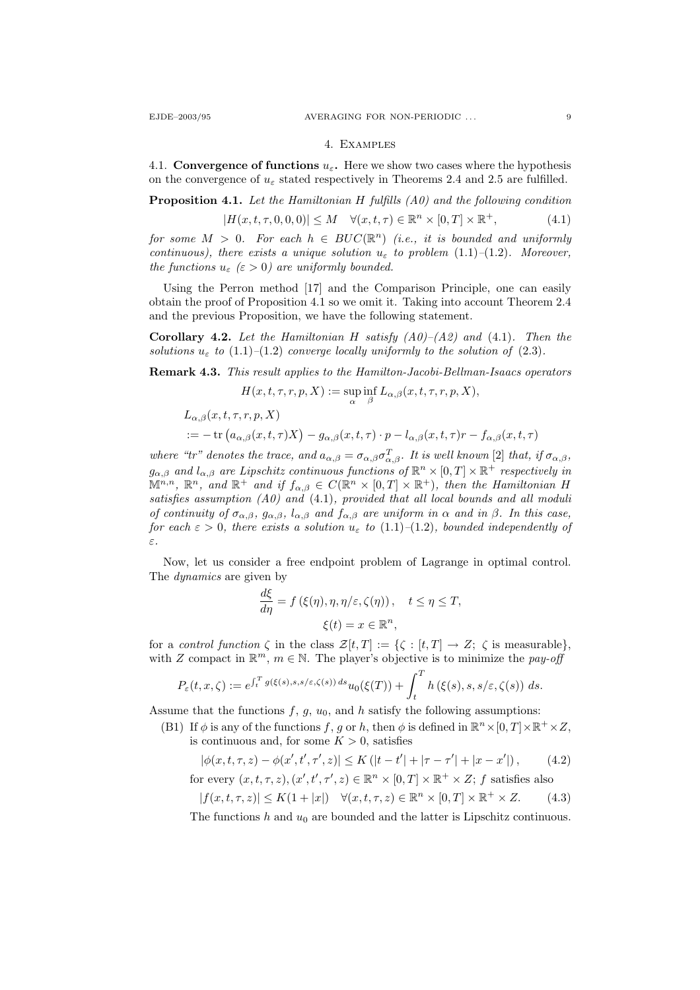#### 4. Examples

4.1. Convergence of functions  $u_{\varepsilon}$ . Here we show two cases where the hypothesis on the convergence of  $u_{\varepsilon}$  stated respectively in Theorems 2.4 and 2.5 are fulfilled.

**Proposition 4.1.** Let the Hamiltonian H fulfills  $(A0)$  and the following condition

$$
|H(x,t,\tau,0,0,0)| \le M \quad \forall (x,t,\tau) \in \mathbb{R}^n \times [0,T] \times \mathbb{R}^+, \tag{4.1}
$$

for some  $M > 0$ . For each  $h \in BUC(\mathbb{R}^n)$  (i.e., it is bounded and uniformly continuous), there exists a unique solution  $u_{\varepsilon}$  to problem (1.1)–(1.2). Moreover, the functions  $u_{\varepsilon}$  ( $\varepsilon > 0$ ) are uniformly bounded.

Using the Perron method [17] and the Comparison Principle, one can easily obtain the proof of Proposition 4.1 so we omit it. Taking into account Theorem 2.4 and the previous Proposition, we have the following statement.

Corollary 4.2. Let the Hamiltonian H satisfy  $(A0)$ – $(A2)$  and  $(4.1)$ . Then the solutions  $u_{\varepsilon}$  to (1.1)–(1.2) converge locally uniformly to the solution of (2.3).

Remark 4.3. This result applies to the Hamilton-Jacobi-Bellman-Isaacs operators

$$
H(x,t,\tau,r,p,X):=\sup_{\alpha}\inf_{\beta}L_{\alpha,\beta}(x,t,\tau,r,p,X),
$$

$$
L_{\alpha,\beta}(x,t,\tau,r,p,X)
$$
  
 := - tr  $(a_{\alpha,\beta}(x,t,\tau)X) - g_{\alpha,\beta}(x,t,\tau) \cdot p - l_{\alpha,\beta}(x,t,\tau)r - f_{\alpha,\beta}(x,t,\tau)$ 

where "tr" denotes the trace, and  $a_{\alpha,\beta} = \sigma_{\alpha,\beta} \sigma_{\alpha,\beta}^T$ . It is well known [2] that, if  $\sigma_{\alpha,\beta}$ ,  $g_{\alpha,\beta}$  and  $l_{\alpha,\beta}$  are Lipschitz continuous functions of  $\mathbb{R}^n\times[0,T]\times\mathbb{R}^+$  respectively in  $\mathbb{M}^{n,n}$ ,  $\mathbb{R}^n$ , and  $\mathbb{R}^+$  and if  $f_{\alpha,\beta} \in C(\mathbb{R}^n \times [0,T] \times \mathbb{R}^+)$ , then the Hamiltonian H satisfies assumption  $(A0)$  and  $(4.1)$ , provided that all local bounds and all moduli of continuity of  $\sigma_{\alpha,\beta}$ ,  $g_{\alpha,\beta}$ ,  $l_{\alpha,\beta}$  and  $f_{\alpha,\beta}$  are uniform in  $\alpha$  and in  $\beta$ . In this case, for each  $\varepsilon > 0$ , there exists a solution  $u_{\varepsilon}$  to (1.1)–(1.2), bounded independently of ε.

Now, let us consider a free endpoint problem of Lagrange in optimal control. The dynamics are given by

$$
\frac{d\xi}{d\eta} = f(\xi(\eta), \eta, \eta/\varepsilon, \zeta(\eta)), \quad t \le \eta \le T,
$$
  

$$
\xi(t) = x \in \mathbb{R}^n,
$$

for a *control function*  $\zeta$  in the class  $\mathcal{Z}[t,T] := {\zeta : [t,T] \to Z; \zeta \text{ is measurable}}$ , with Z compact in  $\mathbb{R}^m$ ,  $m \in \mathbb{N}$ . The player's objective is to minimize the pay-off

$$
P_{\varepsilon}(t,x,\zeta) := e^{\int_t^T g(\xi(s),s,s/\varepsilon,\zeta(s))\,ds} u_0(\xi(T)) + \int_t^T h(\xi(s),s,s/\varepsilon,\zeta(s))\,ds.
$$

Assume that the functions  $f, g, u_0$ , and h satisfy the following assumptions:

(B1) If  $\phi$  is any of the functions f, g or h, then  $\phi$  is defined in  $\mathbb{R}^n \times [0, T] \times \mathbb{R}^+ \times Z$ , is continuous and, for some  $K > 0$ , satisfies

$$
|\phi(x, t, \tau, z) - \phi(x', t', \tau', z)| \le K(|t - t'| + |\tau - \tau'| + |x - x'|),
$$
 (4.2)  
for every  $(x, t, \tau, z)$ ,  $(x', t', \tau', z) \in \mathbb{R}^n \times [0, T] \times \mathbb{R}^+ \times Z$ ; f satisfies also

$$
|f(x,t,\tau,z)| \le K(1+|x|) \quad \forall (x,t,\tau,z) \in \mathbb{R}^n \times [0,T] \times \mathbb{R}^+ \times Z. \tag{4.3}
$$

The functions h and  $u_0$  are bounded and the latter is Lipschitz continuous.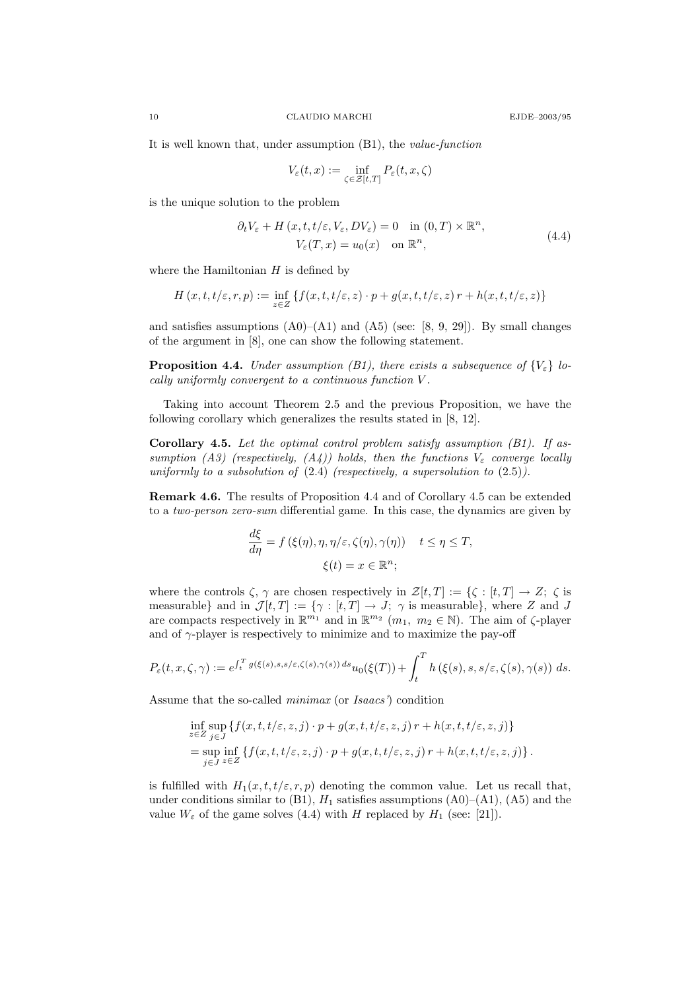It is well known that, under assumption (B1), the value-function

$$
V_{\varepsilon}(t,x) := \inf_{\zeta \in \mathcal{Z}[t,T]} P_{\varepsilon}(t,x,\zeta)
$$

is the unique solution to the problem

$$
\partial_t V_{\varepsilon} + H(x, t, t/\varepsilon, V_{\varepsilon}, DV_{\varepsilon}) = 0 \quad \text{in } (0, T) \times \mathbb{R}^n,
$$
  

$$
V_{\varepsilon}(T, x) = u_0(x) \quad \text{on } \mathbb{R}^n,
$$
 (4.4)

where the Hamiltonian  $H$  is defined by

$$
H(x,t,t/\varepsilon,r,p) := \inf_{z \in Z} \{ f(x,t,t/\varepsilon,z) \cdot p + g(x,t,t/\varepsilon,z) \, r + h(x,t,t/\varepsilon,z) \}
$$

and satisfies assumptions  $(A0)$ – $(A1)$  and  $(A5)$  (see: [8, 9, 29]). By small changes of the argument in [8], one can show the following statement.

**Proposition 4.4.** Under assumption (B1), there exists a subsequence of  $\{V_{\varepsilon}\}\$ locally uniformly convergent to a continuous function V .

Taking into account Theorem 2.5 and the previous Proposition, we have the following corollary which generalizes the results stated in [8, 12].

**Corollary 4.5.** Let the optimal control problem satisfy assumption  $(B1)$ . If assumption (A3) (respectively,  $(A_4)$ ) holds, then the functions  $V_{\varepsilon}$  converge locally uniformly to a subsolution of  $(2.4)$  (respectively, a supersolution to  $(2.5)$ ).

Remark 4.6. The results of Proposition 4.4 and of Corollary 4.5 can be extended to a two-person zero-sum differential game. In this case, the dynamics are given by

$$
\frac{d\xi}{d\eta} = f(\xi(\eta), \eta, \eta/\varepsilon, \zeta(\eta), \gamma(\eta)) \quad t \le \eta \le T,
$$
  

$$
\xi(t) = x \in \mathbb{R}^n;
$$

where the controls  $\zeta$ ,  $\gamma$  are chosen respectively in  $\mathcal{Z}[t,T] := {\zeta : [t,T] \to Z; \zeta \text{ is}}$ measurable} and in  $\mathcal{J}[t,T] := \{\gamma : [t,T] \to J; \gamma \text{ is measurable}\},\$  where Z and J are compacts respectively in  $\mathbb{R}^{m_1}$  and in  $\mathbb{R}^{m_2}$   $(m_1, m_2 \in \mathbb{N})$ . The aim of  $\zeta$ -player and of  $\gamma$ -player is respectively to minimize and to maximize the pay-off

$$
P_{\varepsilon}(t,x,\zeta,\gamma) := e^{\int_t^T g(\xi(s),s,s/\varepsilon,\zeta(s),\gamma(s))\,ds} u_0(\xi(T)) + \int_t^T h(\xi(s),s,s/\varepsilon,\zeta(s),\gamma(s))\,ds.
$$

Assume that the so-called minimax (or Isaacs') condition

$$
\inf_{z \in Z} \sup_{j \in J} \{ f(x, t, t/\varepsilon, z, j) \cdot p + g(x, t, t/\varepsilon, z, j) r + h(x, t, t/\varepsilon, z, j) \}
$$
\n
$$
= \sup_{j \in J} \inf_{z \in Z} \{ f(x, t, t/\varepsilon, z, j) \cdot p + g(x, t, t/\varepsilon, z, j) r + h(x, t, t/\varepsilon, z, j) \}.
$$

is fulfilled with  $H_1(x, t, t/\varepsilon, r, p)$  denoting the common value. Let us recall that, under conditions similar to (B1),  $H_1$  satisfies assumptions (A0)–(A1), (A5) and the value  $W_{\varepsilon}$  of the game solves (4.4) with H replaced by  $H_1$  (see: [21]).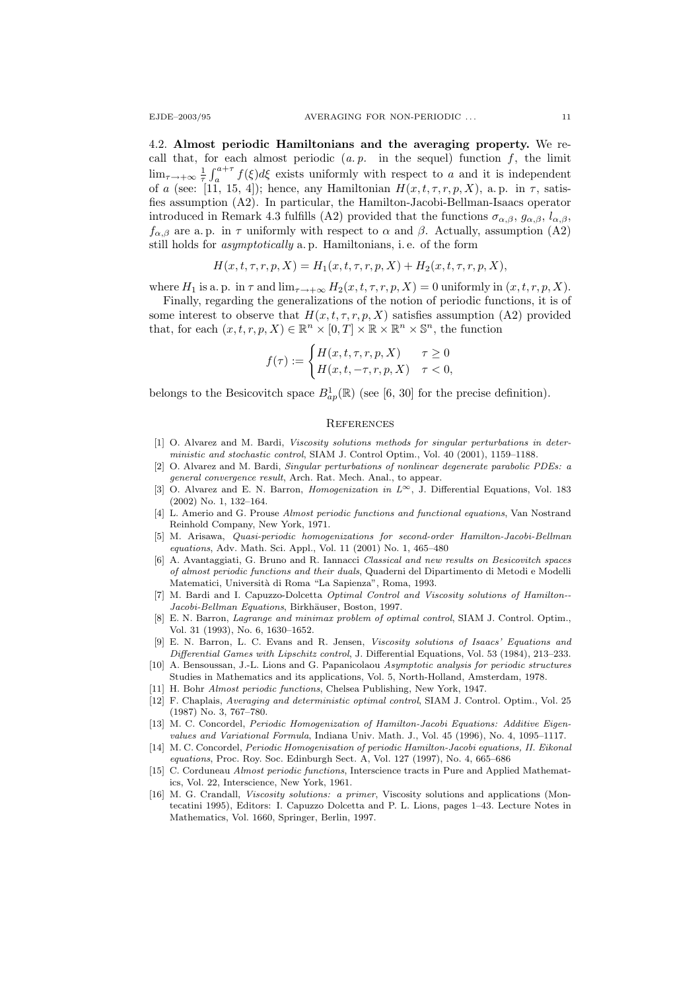4.2. Almost periodic Hamiltonians and the averaging property. We recall that, for each almost periodic  $(a. p.$  in the sequel) function  $f$ , the limit  $\lim_{\tau \to +\infty} \frac{1}{\tau} \int_{a}^{a+\tau} f(\xi) d\xi$  exists uniformly with respect to a and it is independent of a (see: [11, 15, 4]); hence, any Hamiltonian  $H(x, t, \tau, r, p, X)$ , a.p. in  $\tau$ , satisfies assumption (A2). In particular, the Hamilton-Jacobi-Bellman-Isaacs operator introduced in Remark 4.3 fulfills (A2) provided that the functions  $\sigma_{\alpha,\beta}$ ,  $g_{\alpha,\beta}$ ,  $l_{\alpha,\beta}$ ,  $f_{\alpha,\beta}$  are a. p. in  $\tau$  uniformly with respect to  $\alpha$  and  $\beta$ . Actually, assumption (A2) still holds for asymptotically a. p. Hamiltonians, i. e. of the form

$$
H(x, t, \tau, r, p, X) = H_1(x, t, \tau, r, p, X) + H_2(x, t, \tau, r, p, X),
$$

where  $H_1$  is a. p. in  $\tau$  and  $\lim_{\tau \to +\infty} H_2(x, t, \tau, r, p, X) = 0$  uniformly in  $(x, t, r, p, X)$ .

Finally, regarding the generalizations of the notion of periodic functions, it is of some interest to observe that  $H(x, t, \tau, r, p, X)$  satisfies assumption (A2) provided that, for each  $(x, t, r, p, X) \in \mathbb{R}^n \times [0, T] \times \mathbb{R} \times \mathbb{R}^n \times \mathbb{S}^n$ , the function

$$
f(\tau) := \begin{cases} H(x, t, \tau, r, p, X) & \tau \ge 0 \\ H(x, t, -\tau, r, p, X) & \tau < 0, \end{cases}
$$

belongs to the Besicovitch space  $B_{ap}^1(\mathbb{R})$  (see [6, 30] for the precise definition).

### **REFERENCES**

- [1] O. Alvarez and M. Bardi, Viscosity solutions methods for singular perturbations in deterministic and stochastic control, SIAM J. Control Optim., Vol. 40 (2001), 1159–1188.
- [2] O. Alvarez and M. Bardi, Singular perturbations of nonlinear degenerate parabolic PDEs: a general convergence result, Arch. Rat. Mech. Anal., to appear.
- [3] O. Alvarez and E. N. Barron, Homogenization in L∞, J. Differential Equations, Vol. 183 (2002) No. 1, 132–164.
- [4] L. Amerio and G. Prouse Almost periodic functions and functional equations, Van Nostrand Reinhold Company, New York, 1971.
- [5] M. Arisawa, Quasi-periodic homogenizations for second-order Hamilton-Jacobi-Bellman equations, Adv. Math. Sci. Appl., Vol. 11 (2001) No. 1, 465–480
- [6] A. Avantaggiati, G. Bruno and R. Iannacci Classical and new results on Besicovitch spaces of almost periodic functions and their duals, Quaderni del Dipartimento di Metodi e Modelli Matematici, Universit`a di Roma "La Sapienza", Roma, 1993.
- [7] M. Bardi and I. Capuzzo-Dolcetta Optimal Control and Viscosity solutions of Hamilton-- Jacobi-Bellman Equations, Birkhäuser, Boston, 1997.
- [8] E. N. Barron, Lagrange and minimax problem of optimal control, SIAM J. Control. Optim., Vol. 31 (1993), No. 6, 1630–1652.
- [9] E. N. Barron, L. C. Evans and R. Jensen, Viscosity solutions of Isaacs' Equations and Differential Games with Lipschitz control, J. Differential Equations, Vol. 53 (1984), 213–233.
- [10] A. Bensoussan, J.-L. Lions and G. Papanicolaou Asymptotic analysis for periodic structures Studies in Mathematics and its applications, Vol. 5, North-Holland, Amsterdam, 1978.
- [11] H. Bohr Almost periodic functions, Chelsea Publishing, New York, 1947.
- [12] F. Chaplais, Averaging and deterministic optimal control, SIAM J. Control. Optim., Vol. 25 (1987) No. 3, 767–780.
- [13] M. C. Concordel, Periodic Homogenization of Hamilton-Jacobi Equations: Additive Eigenvalues and Variational Formula, Indiana Univ. Math. J., Vol. 45 (1996), No. 4, 1095–1117.
- [14] M. C. Concordel, Periodic Homogenisation of periodic Hamilton-Jacobi equations, II. Eikonal equations, Proc. Roy. Soc. Edinburgh Sect. A, Vol. 127 (1997), No. 4, 665–686
- [15] C. Corduneau Almost periodic functions, Interscience tracts in Pure and Applied Mathematics, Vol. 22, Interscience, New York, 1961.
- [16] M. G. Crandall, Viscosity solutions: a primer, Viscosity solutions and applications (Montecatini 1995), Editors: I. Capuzzo Dolcetta and P. L. Lions, pages 1–43. Lecture Notes in Mathematics, Vol. 1660, Springer, Berlin, 1997.